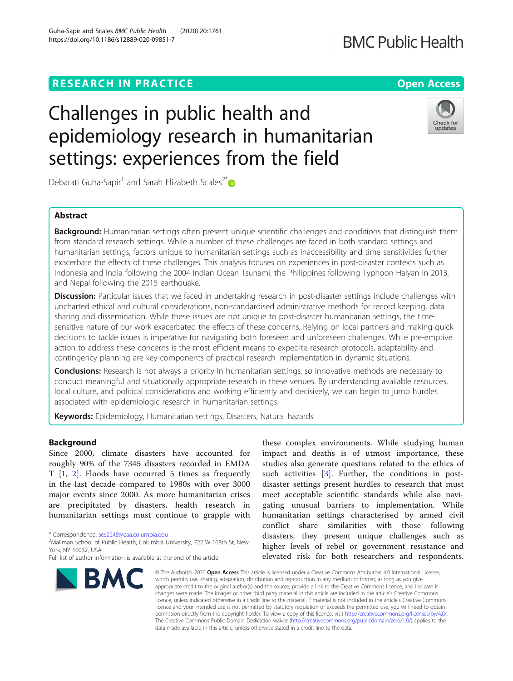# **RESEARCH IN PRACTICE Example 20 and 20 and 20 and 20 and 20 and 20 and 20 and 20 and 20 and 20 and 20 and 20 and 20 and 20 and 20 and 20 and 20 and 20 and 20 and 20 and 20 and 20 and 20 and 20 and 20 and 20 and 20 and 2**

# Challenges in public health and epidemiology research in humanitarian settings: experiences from the field

Debarati Guha-Sapir<sup>1</sup> and Sarah Elizabeth Scales<sup>2\*</sup>

# Abstract

Background: Humanitarian settings often present unique scientific challenges and conditions that distinguish them from standard research settings. While a number of these challenges are faced in both standard settings and humanitarian settings, factors unique to humanitarian settings such as inaccessibility and time sensitivities further exacerbate the effects of these challenges. This analysis focuses on experiences in post-disaster contexts such as Indonesia and India following the 2004 Indian Ocean Tsunami, the Philippines following Typhoon Haiyan in 2013, and Nepal following the 2015 earthquake.

Discussion: Particular issues that we faced in undertaking research in post-disaster settings include challenges with uncharted ethical and cultural considerations, non-standardised administrative methods for record keeping, data sharing and dissemination. While these issues are not unique to post-disaster humanitarian settings, the timesensitive nature of our work exacerbated the effects of these concerns. Relying on local partners and making quick decisions to tackle issues is imperative for navigating both foreseen and unforeseen challenges. While pre-emptive action to address these concerns is the most efficient means to expedite research protocols, adaptability and contingency planning are key components of practical research implementation in dynamic situations.

**Conclusions:** Research is not always a priority in humanitarian settings, so innovative methods are necessary to conduct meaningful and situationally appropriate research in these venues. By understanding available resources, local culture, and political considerations and working efficiently and decisively, we can begin to jump hurdles associated with epidemiologic research in humanitarian settings.

Keywords: Epidemiology, Humanitarian settings, Disasters, Natural hazards

# Background

Since 2000, climate disasters have accounted for roughly 90% of the 7345 disasters recorded in EMDA T [[1,](#page-4-0) [2\]](#page-4-0). Floods have occurred 5 times as frequently in the last decade compared to 1980s with over 3000 major events since 2000. As more humanitarian crises are precipitated by disasters, health research in humanitarian settings must continue to grapple with

\* Correspondence: [ses2248@caa.columbia.edu](mailto:ses2248@caa.columbia.edu) <sup>2</sup>



these complex environments. While studying human impact and deaths is of utmost importance, these studies also generate questions related to the ethics of such activities [\[3](#page-4-0)]. Further, the conditions in postdisaster settings present hurdles to research that must meet acceptable scientific standards while also navigating unusual barriers to implementation. While humanitarian settings characterised by armed civil conflict share similarities with those following disasters, they present unique challenges such as higher levels of rebel or government resistance and elevated risk for both researchers and respondents.

© The Author(s), 2020 **Open Access** This article is licensed under a Creative Commons Attribution 4.0 International License, which permits use, sharing, adaptation, distribution and reproduction in any medium or format, as long as you give appropriate credit to the original author(s) and the source, provide a link to the Creative Commons licence, and indicate if changes were made. The images or other third party material in this article are included in the article's Creative Commons licence, unless indicated otherwise in a credit line to the material. If material is not included in the article's Creative Commons licence and your intended use is not permitted by statutory regulation or exceeds the permitted use, you will need to obtain permission directly from the copyright holder. To view a copy of this licence, visit [http://creativecommons.org/licenses/by/4.0/.](http://creativecommons.org/licenses/by/4.0/) The Creative Commons Public Domain Dedication waiver [\(http://creativecommons.org/publicdomain/zero/1.0/](http://creativecommons.org/publicdomain/zero/1.0/)) applies to the data made available in this article, unless otherwise stated in a credit line to the data.





<sup>&</sup>lt;sup>2</sup>Mailman School of Public Health, Columbia University, 722 W 168th St, New York, NY 10032, USA

Full list of author information is available at the end of the article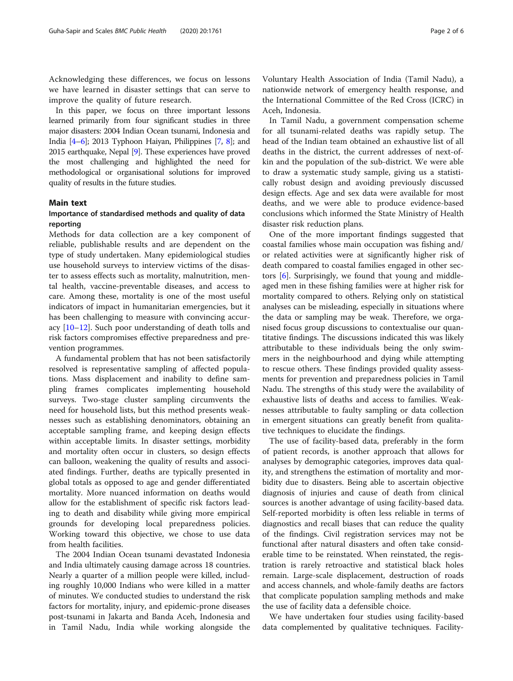Acknowledging these differences, we focus on lessons we have learned in disaster settings that can serve to improve the quality of future research.

In this paper, we focus on three important lessons learned primarily from four significant studies in three major disasters: 2004 Indian Ocean tsunami, Indonesia and India [\[4](#page-4-0)–[6](#page-5-0)]; 2013 Typhoon Haiyan, Philippines [\[7,](#page-5-0) [8](#page-5-0)]; and 2015 earthquake, Nepal [[9](#page-5-0)]. These experiences have proved the most challenging and highlighted the need for methodological or organisational solutions for improved quality of results in the future studies.

#### Main text

## Importance of standardised methods and quality of data reporting

Methods for data collection are a key component of reliable, publishable results and are dependent on the type of study undertaken. Many epidemiological studies use household surveys to interview victims of the disaster to assess effects such as mortality, malnutrition, mental health, vaccine-preventable diseases, and access to care. Among these, mortality is one of the most useful indicators of impact in humanitarian emergencies, but it has been challenging to measure with convincing accuracy  $[10-12]$  $[10-12]$  $[10-12]$ . Such poor understanding of death tolls and risk factors compromises effective preparedness and prevention programmes.

A fundamental problem that has not been satisfactorily resolved is representative sampling of affected populations. Mass displacement and inability to define sampling frames complicates implementing household surveys. Two-stage cluster sampling circumvents the need for household lists, but this method presents weaknesses such as establishing denominators, obtaining an acceptable sampling frame, and keeping design effects within acceptable limits. In disaster settings, morbidity and mortality often occur in clusters, so design effects can balloon, weakening the quality of results and associated findings. Further, deaths are typically presented in global totals as opposed to age and gender differentiated mortality. More nuanced information on deaths would allow for the establishment of specific risk factors leading to death and disability while giving more empirical grounds for developing local preparedness policies. Working toward this objective, we chose to use data from health facilities.

The 2004 Indian Ocean tsunami devastated Indonesia and India ultimately causing damage across 18 countries. Nearly a quarter of a million people were killed, including roughly 10,000 Indians who were killed in a matter of minutes. We conducted studies to understand the risk factors for mortality, injury, and epidemic-prone diseases post-tsunami in Jakarta and Banda Aceh, Indonesia and in Tamil Nadu, India while working alongside the Voluntary Health Association of India (Tamil Nadu), a nationwide network of emergency health response, and the International Committee of the Red Cross (ICRC) in Aceh, Indonesia.

In Tamil Nadu, a government compensation scheme for all tsunami-related deaths was rapidly setup. The head of the Indian team obtained an exhaustive list of all deaths in the district, the current addresses of next-ofkin and the population of the sub-district. We were able to draw a systematic study sample, giving us a statistically robust design and avoiding previously discussed design effects. Age and sex data were available for most deaths, and we were able to produce evidence-based conclusions which informed the State Ministry of Health disaster risk reduction plans.

One of the more important findings suggested that coastal families whose main occupation was fishing and/ or related activities were at significantly higher risk of death compared to coastal families engaged in other sectors [[6](#page-5-0)]. Surprisingly, we found that young and middleaged men in these fishing families were at higher risk for mortality compared to others. Relying only on statistical analyses can be misleading, especially in situations where the data or sampling may be weak. Therefore, we organised focus group discussions to contextualise our quantitative findings. The discussions indicated this was likely attributable to these individuals being the only swimmers in the neighbourhood and dying while attempting to rescue others. These findings provided quality assessments for prevention and preparedness policies in Tamil Nadu. The strengths of this study were the availability of exhaustive lists of deaths and access to families. Weaknesses attributable to faulty sampling or data collection in emergent situations can greatly benefit from qualitative techniques to elucidate the findings.

The use of facility-based data, preferably in the form of patient records, is another approach that allows for analyses by demographic categories, improves data quality, and strengthens the estimation of mortality and morbidity due to disasters. Being able to ascertain objective diagnosis of injuries and cause of death from clinical sources is another advantage of using facility-based data. Self-reported morbidity is often less reliable in terms of diagnostics and recall biases that can reduce the quality of the findings. Civil registration services may not be functional after natural disasters and often take considerable time to be reinstated. When reinstated, the registration is rarely retroactive and statistical black holes remain. Large-scale displacement, destruction of roads and access channels, and whole-family deaths are factors that complicate population sampling methods and make the use of facility data a defensible choice.

We have undertaken four studies using facility-based data complemented by qualitative techniques. Facility-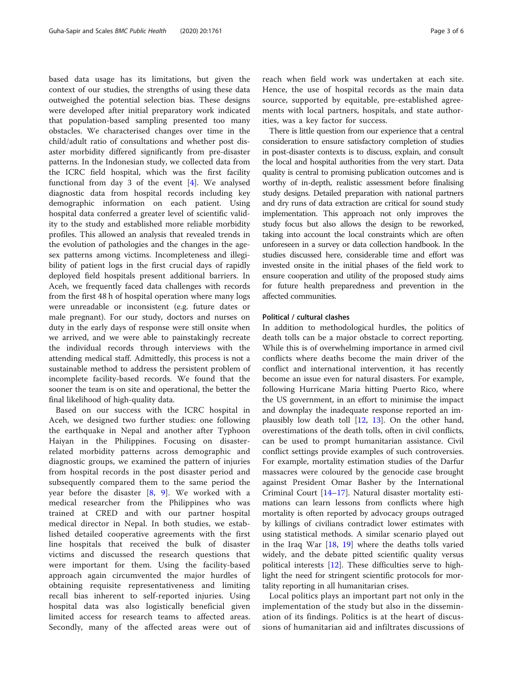based data usage has its limitations, but given the context of our studies, the strengths of using these data outweighed the potential selection bias. These designs were developed after initial preparatory work indicated that population-based sampling presented too many obstacles. We characterised changes over time in the child/adult ratio of consultations and whether post disaster morbidity differed significantly from pre-disaster patterns. In the Indonesian study, we collected data from the ICRC field hospital, which was the first facility functional from day 3 of the event [[4](#page-4-0)]. We analysed diagnostic data from hospital records including key demographic information on each patient. Using hospital data conferred a greater level of scientific validity to the study and established more reliable morbidity profiles. This allowed an analysis that revealed trends in the evolution of pathologies and the changes in the agesex patterns among victims. Incompleteness and illegibility of patient logs in the first crucial days of rapidly deployed field hospitals present additional barriers. In Aceh, we frequently faced data challenges with records from the first 48 h of hospital operation where many logs were unreadable or inconsistent (e.g. future dates or male pregnant). For our study, doctors and nurses on duty in the early days of response were still onsite when we arrived, and we were able to painstakingly recreate the individual records through interviews with the attending medical staff. Admittedly, this process is not a sustainable method to address the persistent problem of incomplete facility-based records. We found that the sooner the team is on site and operational, the better the final likelihood of high-quality data.

Based on our success with the ICRC hospital in Aceh, we designed two further studies: one following the earthquake in Nepal and another after Typhoon Haiyan in the Philippines. Focusing on disasterrelated morbidity patterns across demographic and diagnostic groups, we examined the pattern of injuries from hospital records in the post disaster period and subsequently compared them to the same period the year before the disaster  $[8, 9]$  $[8, 9]$  $[8, 9]$ . We worked with a medical researcher from the Philippines who was trained at CRED and with our partner hospital medical director in Nepal. In both studies, we established detailed cooperative agreements with the first line hospitals that received the bulk of disaster victims and discussed the research questions that were important for them. Using the facility-based approach again circumvented the major hurdles of obtaining requisite representativeness and limiting recall bias inherent to self-reported injuries. Using hospital data was also logistically beneficial given limited access for research teams to affected areas. Secondly, many of the affected areas were out of

reach when field work was undertaken at each site. Hence, the use of hospital records as the main data source, supported by equitable, pre-established agreements with local partners, hospitals, and state authorities, was a key factor for success.

There is little question from our experience that a central consideration to ensure satisfactory completion of studies in post-disaster contexts is to discuss, explain, and consult the local and hospital authorities from the very start. Data quality is central to promising publication outcomes and is worthy of in-depth, realistic assessment before finalising study designs. Detailed preparation with national partners and dry runs of data extraction are critical for sound study implementation. This approach not only improves the study focus but also allows the design to be reworked, taking into account the local constraints which are often unforeseen in a survey or data collection handbook. In the studies discussed here, considerable time and effort was invested onsite in the initial phases of the field work to ensure cooperation and utility of the proposed study aims for future health preparedness and prevention in the affected communities.

#### Political / cultural clashes

In addition to methodological hurdles, the politics of death tolls can be a major obstacle to correct reporting. While this is of overwhelming importance in armed civil conflicts where deaths become the main driver of the conflict and international intervention, it has recently become an issue even for natural disasters. For example, following Hurricane Maria hitting Puerto Rico, where the US government, in an effort to minimise the impact and downplay the inadequate response reported an implausibly low death toll [\[12,](#page-5-0) [13](#page-5-0)]. On the other hand, overestimations of the death tolls, often in civil conflicts, can be used to prompt humanitarian assistance. Civil conflict settings provide examples of such controversies. For example, mortality estimation studies of the Darfur massacres were coloured by the genocide case brought against President Omar Basher by the International Criminal Court [[14](#page-5-0)–[17](#page-5-0)]. Natural disaster mortality estimations can learn lessons from conflicts where high mortality is often reported by advocacy groups outraged by killings of civilians contradict lower estimates with using statistical methods. A similar scenario played out in the Iraq War [\[18,](#page-5-0) [19](#page-5-0)] where the deaths tolls varied widely, and the debate pitted scientific quality versus political interests [[12\]](#page-5-0). These difficulties serve to highlight the need for stringent scientific protocols for mortality reporting in all humanitarian crises.

Local politics plays an important part not only in the implementation of the study but also in the dissemination of its findings. Politics is at the heart of discussions of humanitarian aid and infiltrates discussions of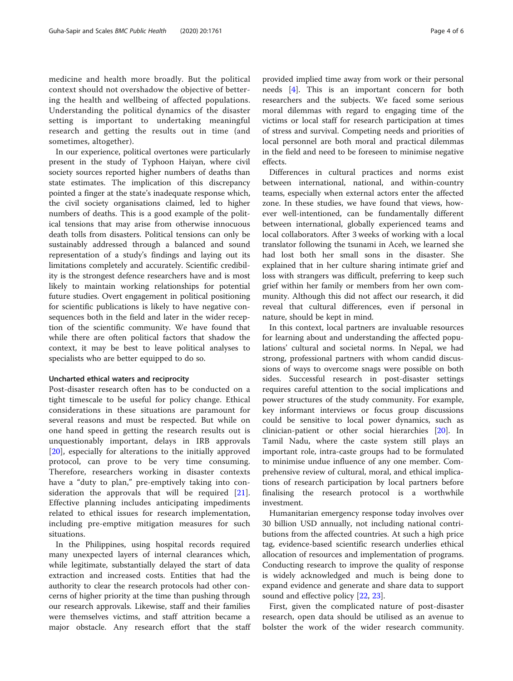medicine and health more broadly. But the political context should not overshadow the objective of bettering the health and wellbeing of affected populations. Understanding the political dynamics of the disaster setting is important to undertaking meaningful research and getting the results out in time (and sometimes, altogether).

In our experience, political overtones were particularly present in the study of Typhoon Haiyan, where civil society sources reported higher numbers of deaths than state estimates. The implication of this discrepancy pointed a finger at the state's inadequate response which, the civil society organisations claimed, led to higher numbers of deaths. This is a good example of the political tensions that may arise from otherwise innocuous death tolls from disasters. Political tensions can only be sustainably addressed through a balanced and sound representation of a study's findings and laying out its limitations completely and accurately. Scientific credibility is the strongest defence researchers have and is most likely to maintain working relationships for potential future studies. Overt engagement in political positioning for scientific publications is likely to have negative consequences both in the field and later in the wider reception of the scientific community. We have found that while there are often political factors that shadow the context, it may be best to leave political analyses to specialists who are better equipped to do so.

#### Uncharted ethical waters and reciprocity

Post-disaster research often has to be conducted on a tight timescale to be useful for policy change. Ethical considerations in these situations are paramount for several reasons and must be respected. But while on one hand speed in getting the research results out is unquestionably important, delays in IRB approvals [[20\]](#page-5-0), especially for alterations to the initially approved protocol, can prove to be very time consuming. Therefore, researchers working in disaster contexts have a "duty to plan," pre-emptively taking into consideration the approvals that will be required [\[21](#page-5-0)]. Effective planning includes anticipating impediments related to ethical issues for research implementation, including pre-emptive mitigation measures for such situations.

In the Philippines, using hospital records required many unexpected layers of internal clearances which, while legitimate, substantially delayed the start of data extraction and increased costs. Entities that had the authority to clear the research protocols had other concerns of higher priority at the time than pushing through our research approvals. Likewise, staff and their families were themselves victims, and staff attrition became a major obstacle. Any research effort that the staff

provided implied time away from work or their personal needs [\[4](#page-4-0)]. This is an important concern for both researchers and the subjects. We faced some serious moral dilemmas with regard to engaging time of the victims or local staff for research participation at times of stress and survival. Competing needs and priorities of local personnel are both moral and practical dilemmas in the field and need to be foreseen to minimise negative effects.

Differences in cultural practices and norms exist between international, national, and within-country teams, especially when external actors enter the affected zone. In these studies, we have found that views, however well-intentioned, can be fundamentally different between international, globally experienced teams and local collaborators. After 3 weeks of working with a local translator following the tsunami in Aceh, we learned she had lost both her small sons in the disaster. She explained that in her culture sharing intimate grief and loss with strangers was difficult, preferring to keep such grief within her family or members from her own community. Although this did not affect our research, it did reveal that cultural differences, even if personal in nature, should be kept in mind.

In this context, local partners are invaluable resources for learning about and understanding the affected populations' cultural and societal norms. In Nepal, we had strong, professional partners with whom candid discussions of ways to overcome snags were possible on both sides. Successful research in post-disaster settings requires careful attention to the social implications and power structures of the study community. For example, key informant interviews or focus group discussions could be sensitive to local power dynamics, such as clinician-patient or other social hierarchies [[20](#page-5-0)]. In Tamil Nadu, where the caste system still plays an important role, intra-caste groups had to be formulated to minimise undue influence of any one member. Comprehensive review of cultural, moral, and ethical implications of research participation by local partners before finalising the research protocol is a worthwhile investment.

Humanitarian emergency response today involves over 30 billion USD annually, not including national contributions from the affected countries. At such a high price tag, evidence-based scientific research underlies ethical allocation of resources and implementation of programs. Conducting research to improve the quality of response is widely acknowledged and much is being done to expand evidence and generate and share data to support sound and effective policy [\[22](#page-5-0), [23](#page-5-0)].

First, given the complicated nature of post-disaster research, open data should be utilised as an avenue to bolster the work of the wider research community.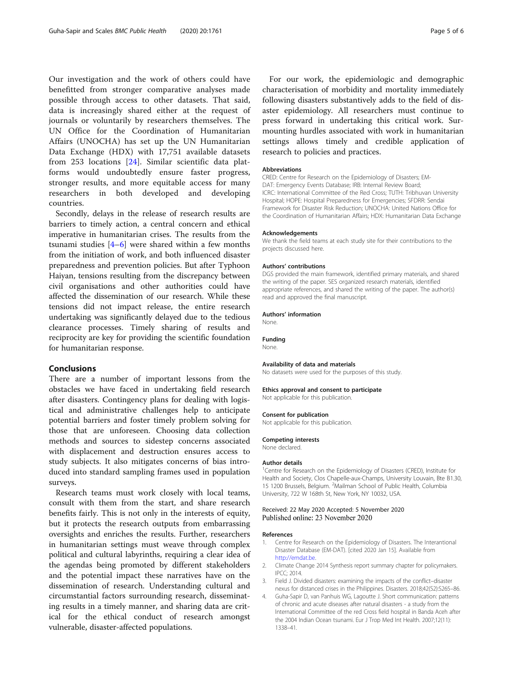<span id="page-4-0"></span>Our investigation and the work of others could have benefitted from stronger comparative analyses made possible through access to other datasets. That said, data is increasingly shared either at the request of journals or voluntarily by researchers themselves. The UN Office for the Coordination of Humanitarian Affairs (UNOCHA) has set up the UN Humanitarian Data Exchange (HDX) with 17,751 available datasets from 253 locations [\[24](#page-5-0)]. Similar scientific data platforms would undoubtedly ensure faster progress, stronger results, and more equitable access for many researchers in both developed and developing countries.

Secondly, delays in the release of research results are barriers to timely action, a central concern and ethical imperative in humanitarian crises. The results from the tsunami studies  $[4-6]$  $[4-6]$  were shared within a few months from the initiation of work, and both influenced disaster preparedness and prevention policies. But after Typhoon Haiyan, tensions resulting from the discrepancy between civil organisations and other authorities could have affected the dissemination of our research. While these tensions did not impact release, the entire research undertaking was significantly delayed due to the tedious clearance processes. Timely sharing of results and reciprocity are key for providing the scientific foundation for humanitarian response.

### Conclusions

There are a number of important lessons from the obstacles we have faced in undertaking field research after disasters. Contingency plans for dealing with logistical and administrative challenges help to anticipate potential barriers and foster timely problem solving for those that are unforeseen. Choosing data collection methods and sources to sidestep concerns associated with displacement and destruction ensures access to study subjects. It also mitigates concerns of bias introduced into standard sampling frames used in population surveys.

Research teams must work closely with local teams, consult with them from the start, and share research benefits fairly. This is not only in the interests of equity, but it protects the research outputs from embarrassing oversights and enriches the results. Further, researchers in humanitarian settings must weave through complex political and cultural labyrinths, requiring a clear idea of the agendas being promoted by different stakeholders and the potential impact these narratives have on the dissemination of research. Understanding cultural and circumstantial factors surrounding research, disseminating results in a timely manner, and sharing data are critical for the ethical conduct of research amongst vulnerable, disaster-affected populations.

For our work, the epidemiologic and demographic characterisation of morbidity and mortality immediately following disasters substantively adds to the field of disaster epidemiology. All researchers must continue to press forward in undertaking this critical work. Surmounting hurdles associated with work in humanitarian settings allows timely and credible application of research to policies and practices.

#### Abbreviations

CRED: Centre for Research on the Epidemiology of Disasters; EM-DAT: Emergency Events Database; IRB: Internal Review Board; ICRC: International Committee of the Red Cross; TUTH: Tribhuvan University Hospital; HOPE: Hospital Preparedness for Emergencies; SFDRR: Sendai Framework for Disaster Risk Reduction; UNOCHA: United Nations Office for the Coordination of Humanitarian Affairs; HDX: Humanitarian Data Exchange

#### Acknowledgements

We thank the field teams at each study site for their contributions to the projects discussed here.

#### Authors' contributions

DGS provided the main framework, identified primary materials, and shared the writing of the paper. SES organized research materials, identified appropriate references, and shared the writing of the paper. The author(s) read and approved the final manuscript.

#### Authors' information

Funding None.

None.

#### Availability of data and materials

No datasets were used for the purposes of this study.

#### Ethics approval and consent to participate

Not applicable for this publication.

#### Consent for publication

Not applicable for this publication.

#### Competing interests

None declared.

#### Author details

<sup>1</sup> Centre for Research on the Epidemiology of Disasters (CRED), Institute for Health and Society, Clos Chapelle-aux-Champs, University Louvain, Bte B1.30, 15 1200 Brussels, Belgium. <sup>2</sup>Mailman School of Public Health, Columbia University, 722 W 168th St, New York, NY 10032, USA.

#### Received: 22 May 2020 Accepted: 5 November 2020 Published online: 23 November 2020

#### References

- 1. Centre for Research on the Epidemiology of Disasters. The Interantional Disaster Database (EM-DAT). [cited 2020 Jan 15]. Available from [http://emdat.be.](http://emdat.be)
- 2. Climate Change 2014 Synthesis report summary chapter for policymakers. IPCC; 2014.
- 3. Field J. Divided disasters: examining the impacts of the conflict–disaster nexus for distanced crises in the Philippines. Disasters. 2018;42(S2):S265–86.
- 4. Guha-Sapir D, van Panhuis WG, Lagoutte J. Short communication: patterns of chronic and acute diseases after natural disasters - a study from the International Committee of the red Cross field hospital in Banda Aceh after the 2004 Indian Ocean tsunami. Eur J Trop Med Int Health. 2007;12(11): 1338–41.